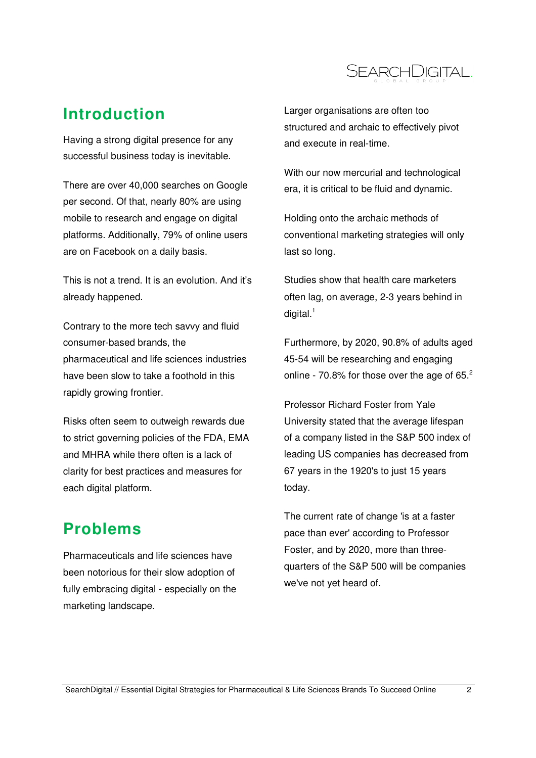

## **Introduction**

Having a strong digital presence for any successful business today is inevitable.

There are over 40,000 searches on Google per second. Of that, nearly 80% are using mobile to research and engage on digital platforms. Additionally, 79% of online users are on Facebook on a daily basis.

This is not a trend. It is an evolution. And it's already happened.

Contrary to the more tech savvy and fluid consumer-based brands, the pharmaceutical and life sciences industries have been slow to take a foothold in this rapidly growing frontier.

Risks often seem to outweigh rewards due to strict governing policies of the FDA, EMA and MHRA while there often is a lack of clarity for best practices and measures for each digital platform.

### **Problems**

Pharmaceuticals and life sciences have been notorious for their slow adoption of fully embracing digital - especially on the marketing landscape.

Larger organisations are often too structured and archaic to effectively pivot and execute in real-time.

With our now mercurial and technological era, it is critical to be fluid and dynamic.

Holding onto the archaic methods of conventional marketing strategies will only last so long.

Studies show that health care marketers often lag, on average, 2-3 years behind in digital. $1$ 

Furthermore, by 2020, 90.8% of adults aged 45-54 will be researching and engaging online - 70.8% for those over the age of 65. $2$ 

Professor Richard Foster from Yale University stated that the average lifespan of a company listed in the S&P 500 index of leading US companies has decreased from 67 years in the 1920's to just 15 years today.

The current rate of change 'is at a faster pace than ever' according to Professor Foster, and by 2020, more than threequarters of the S&P 500 will be companies we've not yet heard of.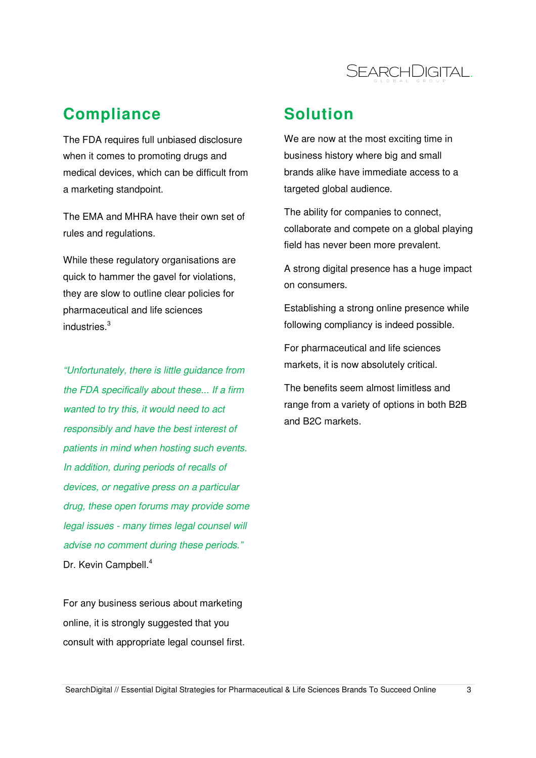

### **Compliance**

The FDA requires full unbiased disclosure when it comes to promoting drugs and medical devices, which can be difficult from a marketing standpoint.

The EMA and MHRA have their own set of rules and regulations.

While these regulatory organisations are quick to hammer the gavel for violations, they are slow to outline clear policies for pharmaceutical and life sciences industries.<sup>3</sup>

"Unfortunately, there is little guidance from the FDA specifically about these... If a firm wanted to try this, it would need to act responsibly and have the best interest of patients in mind when hosting such events. In addition, during periods of recalls of devices, or negative press on a particular drug, these open forums may provide some legal issues - many times legal counsel will advise no comment during these periods." Dr. Kevin Campbell.<sup>4</sup>

For any business serious about marketing online, it is strongly suggested that you consult with appropriate legal counsel first.

### **Solution**

We are now at the most exciting time in business history where big and small brands alike have immediate access to a targeted global audience.

The ability for companies to connect, collaborate and compete on a global playing field has never been more prevalent.

A strong digital presence has a huge impact on consumers.

Establishing a strong online presence while following compliancy is indeed possible.

For pharmaceutical and life sciences markets, it is now absolutely critical.

The benefits seem almost limitless and range from a variety of options in both B2B and B2C markets.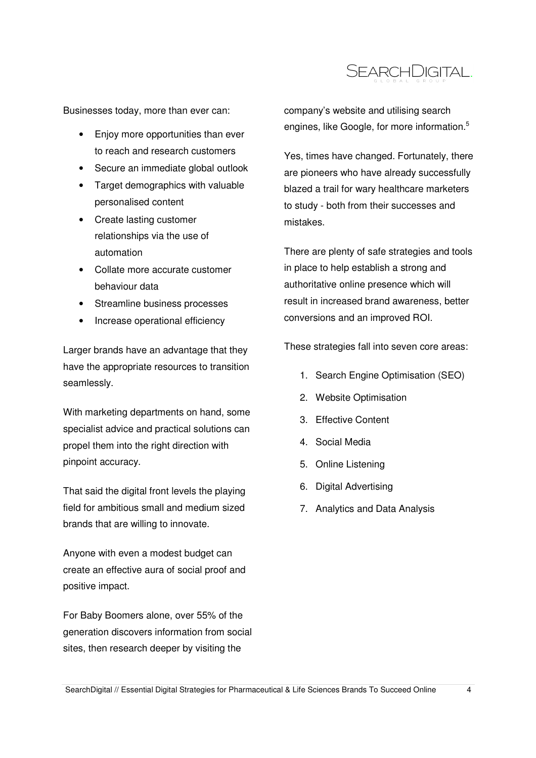

Businesses today, more than ever can:

- Enjoy more opportunities than ever to reach and research customers
- Secure an immediate global outlook
- Target demographics with valuable personalised content
- Create lasting customer relationships via the use of automation
- Collate more accurate customer behaviour data
- Streamline business processes
- Increase operational efficiency

Larger brands have an advantage that they have the appropriate resources to transition seamlessly.

With marketing departments on hand, some specialist advice and practical solutions can propel them into the right direction with pinpoint accuracy.

That said the digital front levels the playing field for ambitious small and medium sized brands that are willing to innovate.

Anyone with even a modest budget can create an effective aura of social proof and positive impact.

For Baby Boomers alone, over 55% of the generation discovers information from social sites, then research deeper by visiting the

company's website and utilising search engines, like Google, for more information.<sup>5</sup>

Yes, times have changed. Fortunately, there are pioneers who have already successfully blazed a trail for wary healthcare marketers to study - both from their successes and mistakes.

There are plenty of safe strategies and tools in place to help establish a strong and authoritative online presence which will result in increased brand awareness, better conversions and an improved ROI.

These strategies fall into seven core areas:

- 1. Search Engine Optimisation (SEO)
- 2. Website Optimisation
- 3. Effective Content
- 4. Social Media
- 5. Online Listening
- 6. Digital Advertising
- 7. Analytics and Data Analysis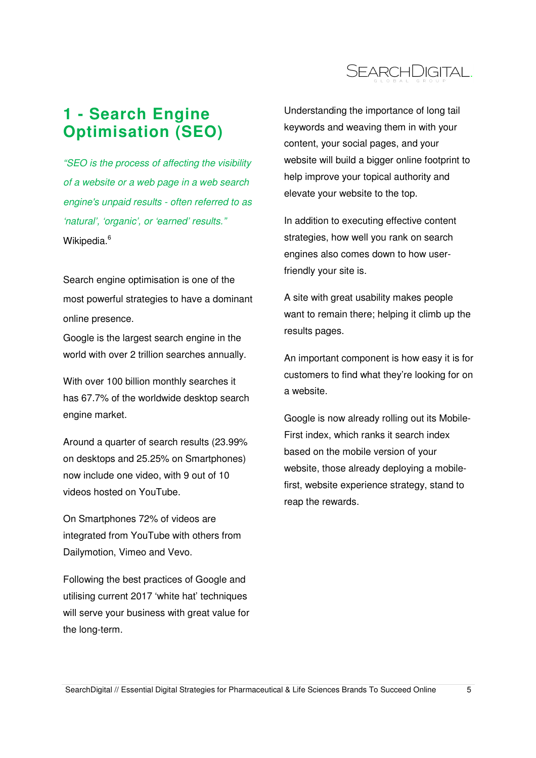

# **1 - Search Engine Optimisation (SEO)**

"SEO is the process of affecting the visibility of a website or a web page in a web search engine's unpaid results - often referred to as 'natural', 'organic', or 'earned' results." Wikipedia.<sup>6</sup>

Search engine optimisation is one of the most powerful strategies to have a dominant online presence.

Google is the largest search engine in the world with over 2 trillion searches annually.

With over 100 billion monthly searches it has 67.7% of the worldwide desktop search engine market.

Around a quarter of search results (23.99% on desktops and 25.25% on Smartphones) now include one video, with 9 out of 10 videos hosted on YouTube.

On Smartphones 72% of videos are integrated from YouTube with others from Dailymotion, Vimeo and Vevo.

Following the best practices of Google and utilising current 2017 'white hat' techniques will serve your business with great value for the long-term.

Understanding the importance of long tail keywords and weaving them in with your content, your social pages, and your website will build a bigger online footprint to help improve your topical authority and elevate your website to the top.

In addition to executing effective content strategies, how well you rank on search engines also comes down to how userfriendly your site is.

A site with great usability makes people want to remain there; helping it climb up the results pages.

An important component is how easy it is for customers to find what they're looking for on a website.

Google is now already rolling out its Mobile-First index, which ranks it search index based on the mobile version of your website, those already deploying a mobilefirst, website experience strategy, stand to reap the rewards.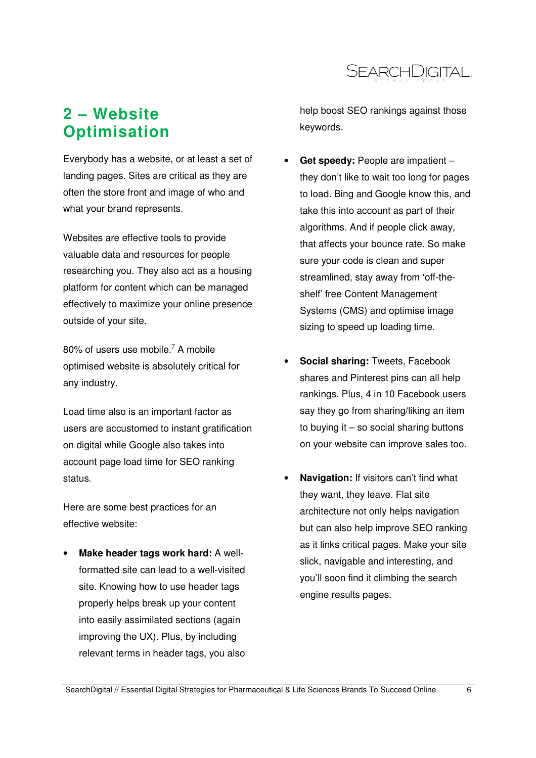

## **2 – Website Optimisation**

Everybody has a website, or at least a set of landing pages. Sites are critical as they are often the store front and image of who and what your brand represents.

Websites are effective tools to provide valuable data and resources for people researching you. They also act as a housing platform for content which can be managed effectively to maximize your online presence outside of your site.

80% of users use mobile.<sup>7</sup> A mobile optimised website is absolutely critical for any industry.

Load time also is an important factor as users are accustomed to instant gratification on digital while Google also takes into account page load time for SEO ranking status.

Here are some best practices for an effective website:

• **Make header tags work hard:** A wellformatted site can lead to a well-visited site. Knowing how to use header tags properly helps break up your content into easily assimilated sections (again improving the UX). Plus, by including relevant terms in header tags, you also

help boost SEO rankings against those keywords.

- **Get speedy:** People are impatient they don't like to wait too long for pages to load. Bing and Google know this, and take this into account as part of their algorithms. And if people click away, that affects your bounce rate. So make sure your code is clean and super streamlined, stay away from 'off-theshelf' free Content Management Systems (CMS) and optimise image sizing to speed up loading time.
- **Social sharing:** Tweets, Facebook shares and Pinterest pins can all help rankings. Plus, 4 in 10 Facebook users say they go from sharing/liking an item to buying it – so social sharing buttons on your website can improve sales too.
- **Navigation:** If visitors can't find what they want, they leave. Flat site architecture not only helps navigation but can also help improve SEO ranking as it links critical pages. Make your site slick, navigable and interesting, and you'll soon find it climbing the search engine results pages.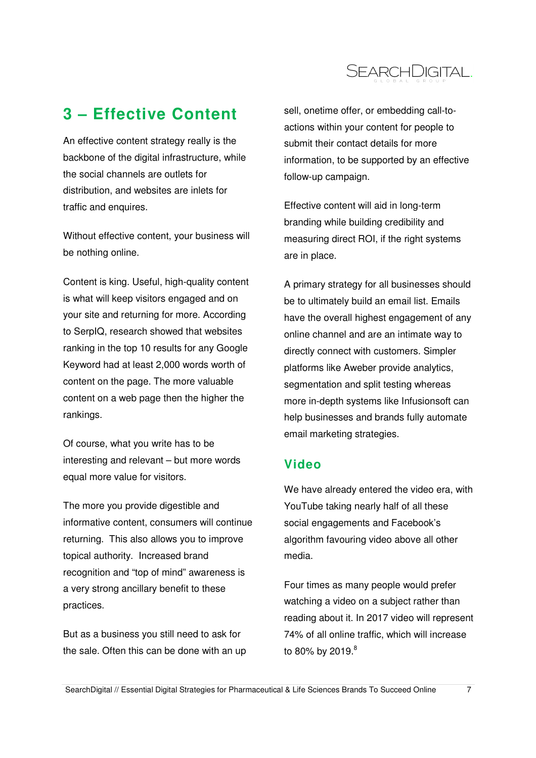

# **3 – Effective Content**

An effective content strategy really is the backbone of the digital infrastructure, while the social channels are outlets for distribution, and websites are inlets for traffic and enquires.

Without effective content, your business will be nothing online.

Content is king. Useful, high-quality content is what will keep visitors engaged and on your site and returning for more. According to SerpIQ, research showed that websites ranking in the top 10 results for any Google Keyword had at least 2,000 words worth of content on the page. The more valuable content on a web page then the higher the rankings.

Of course, what you write has to be interesting and relevant – but more words equal more value for visitors.

The more you provide digestible and informative content, consumers will continue returning. This also allows you to improve topical authority. Increased brand recognition and "top of mind" awareness is a very strong ancillary benefit to these practices.

But as a business you still need to ask for the sale. Often this can be done with an up sell, onetime offer, or embedding call-toactions within your content for people to submit their contact details for more information, to be supported by an effective follow-up campaign.

Effective content will aid in long-term branding while building credibility and measuring direct ROI, if the right systems are in place.

A primary strategy for all businesses should be to ultimately build an email list. Emails have the overall highest engagement of any online channel and are an intimate way to directly connect with customers. Simpler platforms like Aweber provide analytics, segmentation and split testing whereas more in-depth systems like Infusionsoft can help businesses and brands fully automate email marketing strategies.

### **Video**

We have already entered the video era, with YouTube taking nearly half of all these social engagements and Facebook's algorithm favouring video above all other media.

Four times as many people would prefer watching a video on a subject rather than reading about it. In 2017 video will represent 74% of all online traffic, which will increase to 80% by 2019. $^{\rm 8}$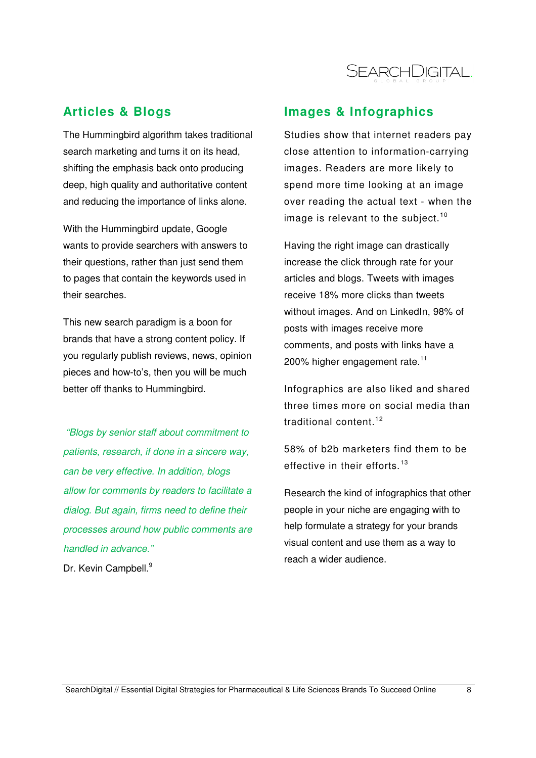

### **Articles & Blogs**

The Hummingbird algorithm takes traditional search marketing and turns it on its head, shifting the emphasis back onto producing deep, high quality and authoritative content and reducing the importance of links alone.

With the Hummingbird update, Google wants to provide searchers with answers to their questions, rather than just send them to pages that contain the keywords used in their searches.

This new search paradigm is a boon for brands that have a strong content policy. If you regularly publish reviews, news, opinion pieces and how-to's, then you will be much better off thanks to Hummingbird.

"Blogs by senior staff about commitment to patients, research, if done in a sincere way, can be very effective. In addition, blogs allow for comments by readers to facilitate a dialog. But again, firms need to define their processes around how public comments are handled in advance." Dr. Kevin Campbell.<sup>9</sup>

### **Images & Infographics**

Studies show that internet readers pay close attention to information-carrying images. Readers are more likely to spend more time looking at an image over reading the actual text - when the image is relevant to the subject.<sup>10</sup>

Having the right image can drastically increase the click through rate for your articles and blogs. Tweets with images receive 18% more clicks than tweets without images. And on LinkedIn, 98% of posts with images receive more comments, and posts with links have a 200% higher engagement rate. $11$ 

Infographics are also liked and shared three times more on social media than traditional content<sup>12</sup>

58% of b2b marketers find them to be effective in their efforts.<sup>13</sup>

Research the kind of infographics that other people in your niche are engaging with to help formulate a strategy for your brands visual content and use them as a way to reach a wider audience.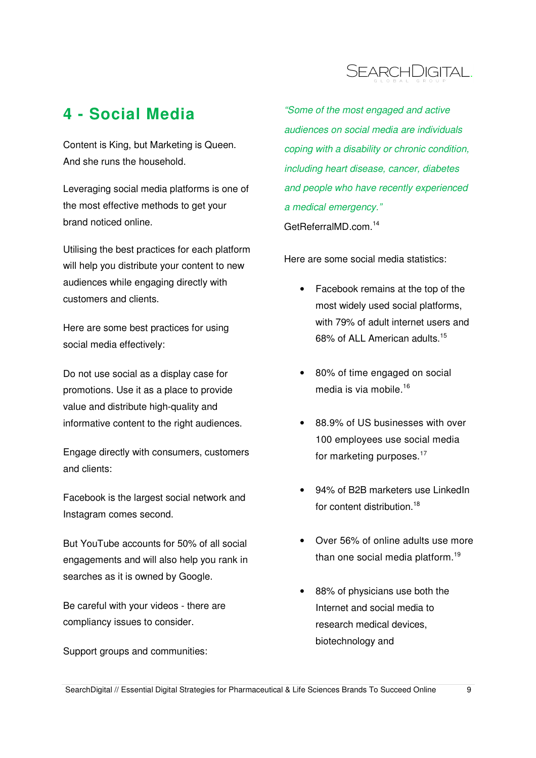

## **4 - Social Media**

Content is King, but Marketing is Queen. And she runs the household.

Leveraging social media platforms is one of the most effective methods to get your brand noticed online.

Utilising the best practices for each platform will help you distribute your content to new audiences while engaging directly with customers and clients.

Here are some best practices for using social media effectively:

Do not use social as a display case for promotions. Use it as a place to provide value and distribute high-quality and informative content to the right audiences.

Engage directly with consumers, customers and clients:

Facebook is the largest social network and Instagram comes second.

But YouTube accounts for 50% of all social engagements and will also help you rank in searches as it is owned by Google.

Be careful with your videos - there are compliancy issues to consider.

Support groups and communities:

"Some of the most engaged and active audiences on social media are individuals coping with a disability or chronic condition, including heart disease, cancer, diabetes and people who have recently experienced a medical emergency." GetReferralMD.com.<sup>14</sup>

Here are some social media statistics:

- Facebook remains at the top of the most widely used social platforms, with 79% of adult internet users and 68% of ALL American adults.<sup>15</sup>
- 80% of time engaged on social media is via mobile. $16$
- 88.9% of US businesses with over 100 employees use social media for marketing purposes. $17$
- 94% of B2B marketers use LinkedIn for content distribution.<sup>18</sup>
- Over 56% of online adults use more than one social media platform.<sup>19</sup>
- 88% of physicians use both the Internet and social media to research medical devices, biotechnology and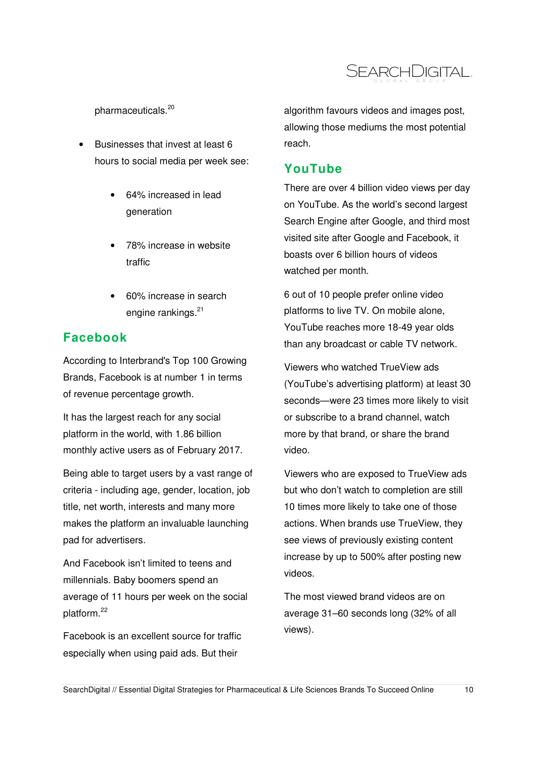

pharmaceuticals.<sup>20</sup>

- Businesses that invest at least 6 hours to social media per week see:
	- 64% increased in lead generation
	- 78% increase in website traffic
	- 60% increase in search engine rankings.<sup>21</sup>

### **Facebook**

According to Interbrand's Top 100 Growing Brands, Facebook is at number 1 in terms of revenue percentage growth.

It has the largest reach for any social platform in the world, with 1.86 billion monthly active users as of February 2017.

Being able to target users by a vast range of criteria - including age, gender, location, job title, net worth, interests and many more makes the platform an invaluable launching pad for advertisers.

And Facebook isn't limited to teens and millennials. Baby boomers spend an average of 11 hours per week on the social platform.<sup>22</sup>

Facebook is an excellent source for traffic especially when using paid ads. But their

algorithm favours videos and images post, allowing those mediums the most potential reach.

### **YouTube**

There are over 4 billion video views per day on YouTube. As the world's second largest Search Engine after Google, and third most visited site after Google and Facebook, it boasts over 6 billion hours of videos watched per month.

6 out of 10 people prefer online video platforms to live TV. On mobile alone, YouTube reaches more 18-49 year olds than any broadcast or cable TV network.

Viewers who watched TrueView ads (YouTube's advertising platform) at least 30 seconds—were 23 times more likely to visit or subscribe to a brand channel, watch more by that brand, or share the brand video.

Viewers who are exposed to TrueView ads but who don't watch to completion are still 10 times more likely to take one of those actions. When brands use TrueView, they see views of previously existing content increase by up to 500% after posting new videos.

The most viewed brand videos are on average 31–60 seconds long (32% of all views).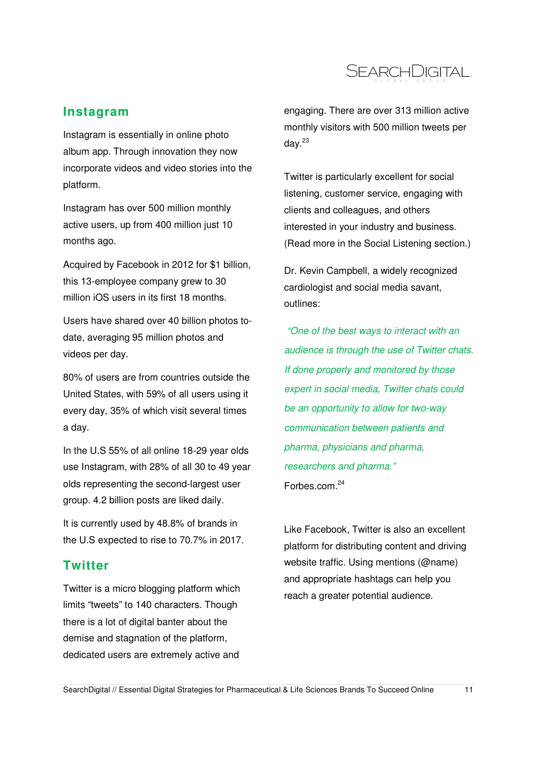

### **Instagram**

Instagram is essentially in online photo album app. Through innovation they now incorporate videos and video stories into the platform.

Instagram has over 500 million monthly active users, up from 400 million just 10 months ago.

Acquired by Facebook in 2012 for \$1 billion, this 13-employee company grew to 30 million iOS users in its first 18 months.

Users have shared over 40 billion photos todate, averaging 95 million photos and videos per day.

80% of users are from countries outside the United States, with 59% of all users using it every day, 35% of which visit several times a day.

In the U.S 55% of all online 18-29 year olds use Instagram, with 28% of all 30 to 49 year olds representing the second-largest user group. 4.2 billion posts are liked daily.

It is currently used by 48.8% of brands in the U.S expected to rise to 70.7% in 2017.

#### **Twitter**

Twitter is a micro blogging platform which limits "tweets" to 140 characters. Though there is a lot of digital banter about the demise and stagnation of the platform, dedicated users are extremely active and

engaging. There are over 313 million active monthly visitors with 500 million tweets per dav. $^{23}$ 

Twitter is particularly excellent for social listening, customer service, engaging with clients and colleagues, and others interested in your industry and business. (Read more in the Social Listening section.)

Dr. Kevin Campbell, a widely recognized cardiologist and social media savant, outlines:

 "One of the best ways to interact with an audience is through the use of Twitter chats. If done properly and monitored by those expert in social media, Twitter chats could be an opportunity to allow for two-way communication between patients and pharma, physicians and pharma, researchers and pharma." Forbes.com.<sup>24</sup>

Like Facebook, Twitter is also an excellent platform for distributing content and driving website traffic. Using mentions (@name) and appropriate hashtags can help you reach a greater potential audience.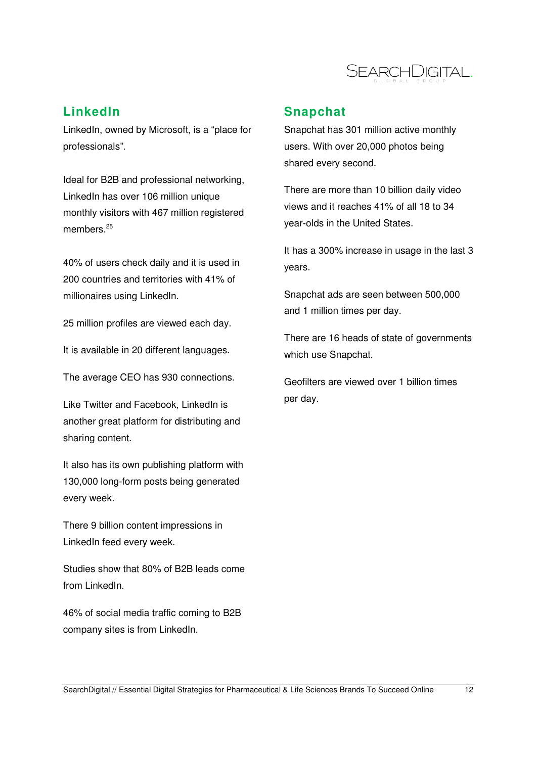

### **LinkedIn**

LinkedIn, owned by Microsoft, is a "place for professionals".

Ideal for B2B and professional networking, LinkedIn has over 106 million unique monthly visitors with 467 million registered members.<sup>25</sup>

40% of users check daily and it is used in 200 countries and territories with 41% of millionaires using LinkedIn.

25 million profiles are viewed each day.

It is available in 20 different languages.

The average CEO has 930 connections.

Like Twitter and Facebook, LinkedIn is another great platform for distributing and sharing content.

It also has its own publishing platform with 130,000 long-form posts being generated every week.

There 9 billion content impressions in LinkedIn feed every week.

Studies show that 80% of B2B leads come from LinkedIn.

46% of social media traffic coming to B2B company sites is from LinkedIn.

### **Snapchat**

Snapchat has 301 million active monthly users. With over 20,000 photos being shared every second.

There are more than 10 billion daily video views and it reaches 41% of all 18 to 34 year-olds in the United States.

It has a 300% increase in usage in the last 3 years.

Snapchat ads are seen between 500,000 and 1 million times per day.

There are 16 heads of state of governments which use Snapchat.

Geofilters are viewed over 1 billion times per day.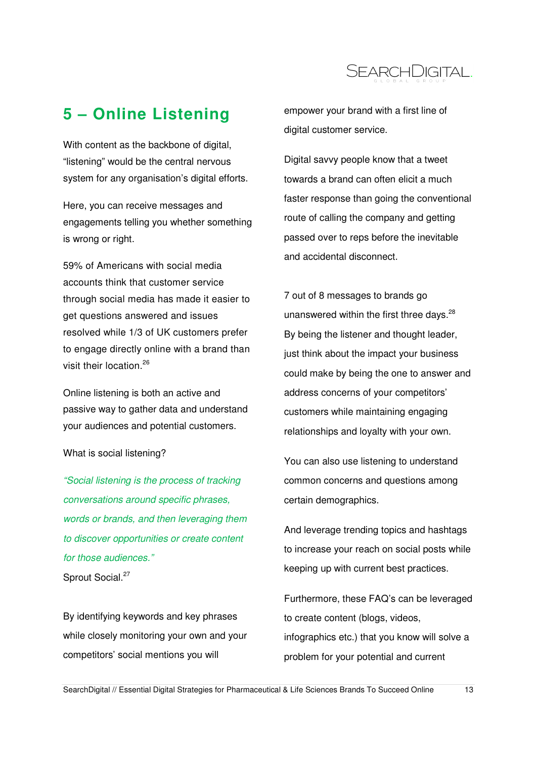

# **5 – Online Listening**

With content as the backbone of digital, "listening" would be the central nervous system for any organisation's digital efforts.

Here, you can receive messages and engagements telling you whether something is wrong or right.

59% of Americans with social media accounts think that customer service through social media has made it easier to get questions answered and issues resolved while 1/3 of UK customers prefer to engage directly online with a brand than visit their location.<sup>26</sup>

Online listening is both an active and passive way to gather data and understand your audiences and potential customers.

#### What is social listening?

"Social listening is the process of tracking conversations around specific phrases, words or brands, and then leveraging them to discover opportunities or create content for those audiences." Sprout Social.<sup>27</sup>

By identifying keywords and key phrases while closely monitoring your own and your competitors' social mentions you will

empower your brand with a first line of digital customer service.

Digital savvy people know that a tweet towards a brand can often elicit a much faster response than going the conventional route of calling the company and getting passed over to reps before the inevitable and accidental disconnect.

7 out of 8 messages to brands go unanswered within the first three days. $^{28}$ By being the listener and thought leader, just think about the impact your business could make by being the one to answer and address concerns of your competitors' customers while maintaining engaging relationships and loyalty with your own.

You can also use listening to understand common concerns and questions among certain demographics.

And leverage trending topics and hashtags to increase your reach on social posts while keeping up with current best practices.

Furthermore, these FAQ's can be leveraged to create content (blogs, videos, infographics etc.) that you know will solve a problem for your potential and current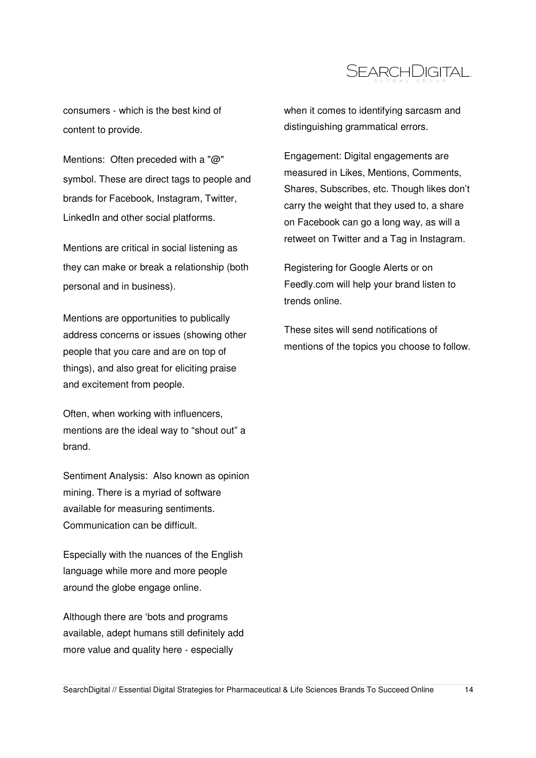

consumers - which is the best kind of content to provide.

Mentions: Often preceded with a "@" symbol. These are direct tags to people and brands for Facebook, Instagram, Twitter, LinkedIn and other social platforms.

Mentions are critical in social listening as they can make or break a relationship (both personal and in business).

Mentions are opportunities to publically address concerns or issues (showing other people that you care and are on top of things), and also great for eliciting praise and excitement from people.

Often, when working with influencers, mentions are the ideal way to "shout out" a brand.

Sentiment Analysis: Also known as opinion mining. There is a myriad of software available for measuring sentiments. Communication can be difficult.

Especially with the nuances of the English language while more and more people around the globe engage online.

Although there are 'bots and programs available, adept humans still definitely add more value and quality here - especially

when it comes to identifying sarcasm and distinguishing grammatical errors.

Engagement: Digital engagements are measured in Likes, Mentions, Comments, Shares, Subscribes, etc. Though likes don't carry the weight that they used to, a share on Facebook can go a long way, as will a retweet on Twitter and a Tag in Instagram.

Registering for Google Alerts or on Feedly.com will help your brand listen to trends online.

These sites will send notifications of mentions of the topics you choose to follow.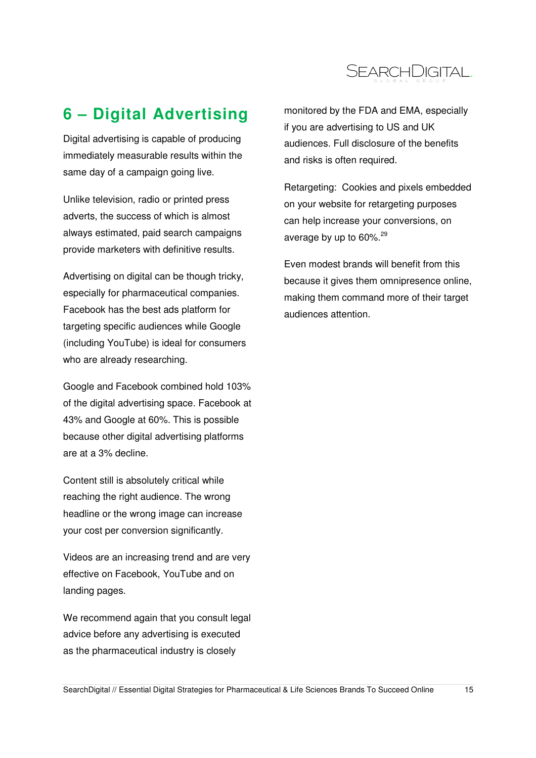

# **6 – Digital Advertising**

Digital advertising is capable of producing immediately measurable results within the same day of a campaign going live.

Unlike television, radio or printed press adverts, the success of which is almost always estimated, paid search campaigns provide marketers with definitive results.

Advertising on digital can be though tricky, especially for pharmaceutical companies. Facebook has the best ads platform for targeting specific audiences while Google (including YouTube) is ideal for consumers who are already researching.

Google and Facebook combined hold 103% of the digital advertising space. Facebook at 43% and Google at 60%. This is possible because other digital advertising platforms are at a 3% decline.

Content still is absolutely critical while reaching the right audience. The wrong headline or the wrong image can increase your cost per conversion significantly.

Videos are an increasing trend and are very effective on Facebook, YouTube and on landing pages.

We recommend again that you consult legal advice before any advertising is executed as the pharmaceutical industry is closely

monitored by the FDA and EMA, especially if you are advertising to US and UK audiences. Full disclosure of the benefits and risks is often required.

Retargeting: Cookies and pixels embedded on your website for retargeting purposes can help increase your conversions, on average by up to 60%.<sup>29</sup>

Even modest brands will benefit from this because it gives them omnipresence online, making them command more of their target audiences attention.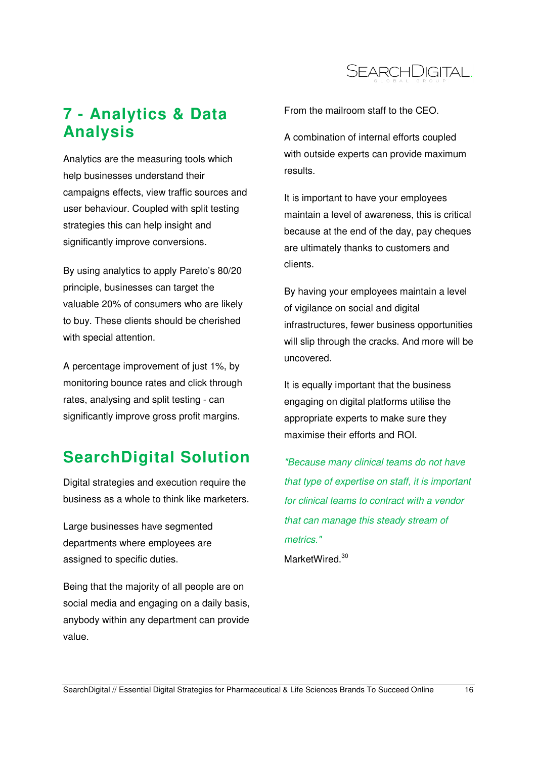

# **7 - Analytics & Data Analysis**

Analytics are the measuring tools which help businesses understand their campaigns effects, view traffic sources and user behaviour. Coupled with split testing strategies this can help insight and significantly improve conversions.

By using analytics to apply Pareto's 80/20 principle, businesses can target the valuable 20% of consumers who are likely to buy. These clients should be cherished with special attention.

A percentage improvement of just 1%, by monitoring bounce rates and click through rates, analysing and split testing - can significantly improve gross profit margins.

### **SearchDigital Solution**

Digital strategies and execution require the business as a whole to think like marketers.

Large businesses have segmented departments where employees are assigned to specific duties.

Being that the majority of all people are on social media and engaging on a daily basis, anybody within any department can provide value.

From the mailroom staff to the CEO.

A combination of internal efforts coupled with outside experts can provide maximum results.

It is important to have your employees maintain a level of awareness, this is critical because at the end of the day, pay cheques are ultimately thanks to customers and clients.

By having your employees maintain a level of vigilance on social and digital infrastructures, fewer business opportunities will slip through the cracks. And more will be uncovered.

It is equally important that the business engaging on digital platforms utilise the appropriate experts to make sure they maximise their efforts and ROI.

"Because many clinical teams do not have that type of expertise on staff, it is important for clinical teams to contract with a vendor that can manage this steady stream of metrics." MarketWired.<sup>30</sup>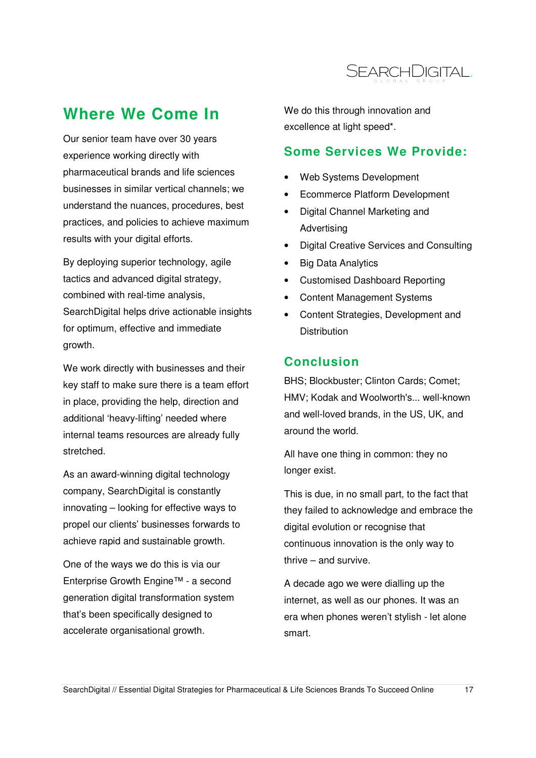

## **Where We Come In**

Our senior team have over 30 years experience working directly with pharmaceutical brands and life sciences businesses in similar vertical channels; we understand the nuances, procedures, best practices, and policies to achieve maximum results with your digital efforts.

By deploying superior technology, agile tactics and advanced digital strategy, combined with real-time analysis, SearchDigital helps drive actionable insights for optimum, effective and immediate growth.

We work directly with businesses and their key staff to make sure there is a team effort in place, providing the help, direction and additional 'heavy-lifting' needed where internal teams resources are already fully stretched.

As an award-winning digital technology company, SearchDigital is constantly innovating – looking for effective ways to propel our clients' businesses forwards to achieve rapid and sustainable growth.

One of the ways we do this is via our Enterprise Growth Engine™ - a second generation digital transformation system that's been specifically designed to accelerate organisational growth.

We do this through innovation and excellence at light speed\*.

### **Some Services We Provide:**

- Web Systems Development
- Ecommerce Platform Development
- Digital Channel Marketing and Advertising
- Digital Creative Services and Consulting
- Big Data Analytics
- Customised Dashboard Reporting
- Content Management Systems
- Content Strategies, Development and **Distribution**

### **Conclusion**

BHS; Blockbuster; Clinton Cards; Comet; HMV; Kodak and Woolworth's... well-known and well-loved brands, in the US, UK, and around the world.

All have one thing in common: they no longer exist.

This is due, in no small part, to the fact that they failed to acknowledge and embrace the digital evolution or recognise that continuous innovation is the only way to thrive – and survive.

A decade ago we were dialling up the internet, as well as our phones. It was an era when phones weren't stylish - let alone smart.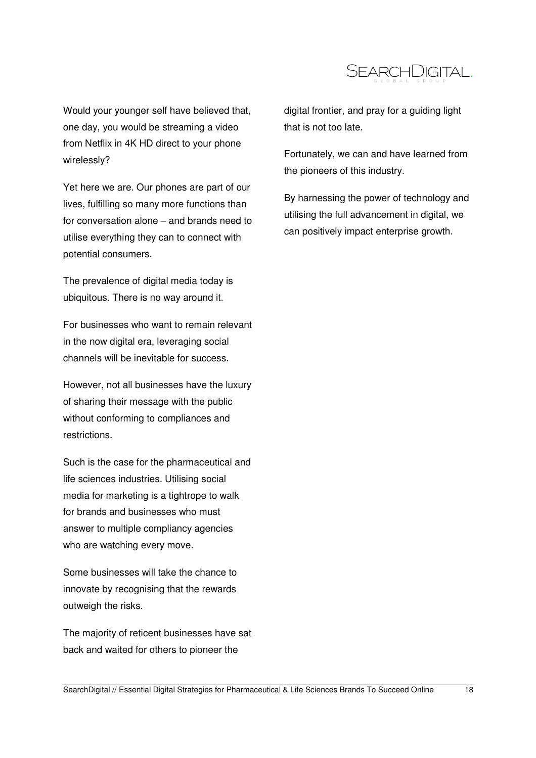

Would your younger self have believed that, one day, you would be streaming a video from Netflix in 4K HD direct to your phone wirelessly?

Yet here we are. Our phones are part of our lives, fulfilling so many more functions than for conversation alone – and brands need to utilise everything they can to connect with potential consumers.

The prevalence of digital media today is ubiquitous. There is no way around it.

For businesses who want to remain relevant in the now digital era, leveraging social channels will be inevitable for success.

However, not all businesses have the luxury of sharing their message with the public without conforming to compliances and restrictions.

Such is the case for the pharmaceutical and life sciences industries. Utilising social media for marketing is a tightrope to walk for brands and businesses who must answer to multiple compliancy agencies who are watching every move.

Some businesses will take the chance to innovate by recognising that the rewards outweigh the risks.

The majority of reticent businesses have sat back and waited for others to pioneer the

digital frontier, and pray for a guiding light that is not too late.

Fortunately, we can and have learned from the pioneers of this industry.

By harnessing the power of technology and utilising the full advancement in digital, we can positively impact enterprise growth.